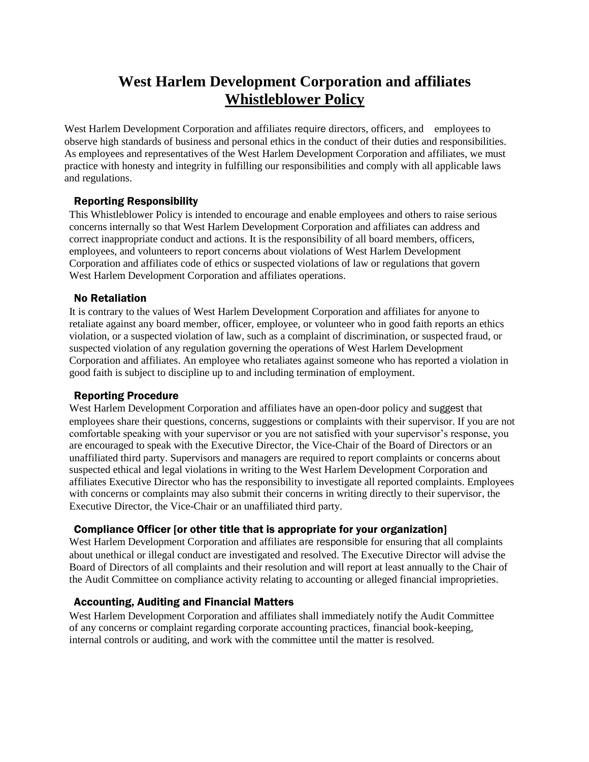# **West Harlem Development Corporation and affiliates Whistleblower Policy**

West Harlem Development Corporation and affiliates require directors, officers, and employees to observe high standards of business and personal ethics in the conduct of their duties and responsibilities. As employees and representatives of the West Harlem Development Corporation and affiliates, we must practice with honesty and integrity in fulfilling our responsibilities and comply with all applicable laws and regulations.

## Reporting Responsibility

This Whistleblower Policy is intended to encourage and enable employees and others to raise serious concerns internally so that West Harlem Development Corporation and affiliates can address and correct inappropriate conduct and actions. It is the responsibility of all board members, officers, employees, and volunteers to report concerns about violations of West Harlem Development Corporation and affiliates code of ethics or suspected violations of law or regulations that govern West Harlem Development Corporation and affiliates operations.

### No Retaliation

It is contrary to the values of West Harlem Development Corporation and affiliates for anyone to retaliate against any board member, officer, employee, or volunteer who in good faith reports an ethics violation, or a suspected violation of law, such as a complaint of discrimination, or suspected fraud, or suspected violation of any regulation governing the operations of West Harlem Development Corporation and affiliates. An employee who retaliates against someone who has reported a violation in good faith is subject to discipline up to and including termination of employment.

#### Reporting Procedure

West Harlem Development Corporation and affiliates have an open-door policy and suggest that employees share their questions, concerns, suggestions or complaints with their supervisor. If you are not comfortable speaking with your supervisor or you are not satisfied with your supervisor's response, you are encouraged to speak with the Executive Director, the Vice-Chair of the Board of Directors or an unaffiliated third party. Supervisors and managers are required to report complaints or concerns about suspected ethical and legal violations in writing to the West Harlem Development Corporation and affiliates Executive Director who has the responsibility to investigate all reported complaints. Employees with concerns or complaints may also submit their concerns in writing directly to their supervisor, the Executive Director, the Vice-Chair or an unaffiliated third party.

### Compliance Officer [or other title that is appropriate for your organization]

West Harlem Development Corporation and affiliates are responsible for ensuring that all complaints about unethical or illegal conduct are investigated and resolved. The Executive Director will advise the Board of Directors of all complaints and their resolution and will report at least annually to the Chair of the Audit Committee on compliance activity relating to accounting or alleged financial improprieties.

### Accounting, Auditing and Financial Matters

West Harlem Development Corporation and affiliates shall immediately notify the Audit Committee of any concerns or complaint regarding corporate accounting practices, financial book-keeping, internal controls or auditing, and work with the committee until the matter is resolved.